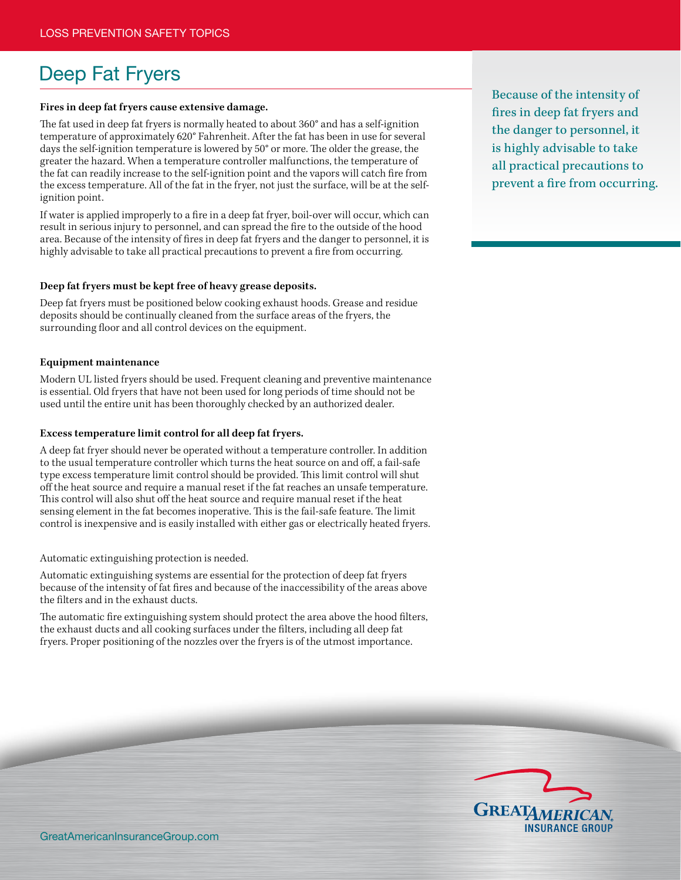# Deep Fat Fryers

## **Fires in deep fat fryers cause extensive damage.**

The fat used in deep fat fryers is normally heated to about 360° and has a self-ignition temperature of approximately 620° Fahrenheit. After the fat has been in use for several days the self-ignition temperature is lowered by 50° or more. The older the grease, the greater the hazard. When a temperature controller malfunctions, the temperature of the fat can readily increase to the self-ignition point and the vapors will catch fire from the excess temperature. All of the fat in the fryer, not just the surface, will be at the selfignition point.

If water is applied improperly to a fire in a deep fat fryer, boil-over will occur, which can result in serious injury to personnel, and can spread the fire to the outside of the hood area. Because of the intensity of fires in deep fat fryers and the danger to personnel, it is highly advisable to take all practical precautions to prevent a fire from occurring.

#### **Deep fat fryers must be kept free of heavy grease deposits.**

Deep fat fryers must be positioned below cooking exhaust hoods. Grease and residue deposits should be continually cleaned from the surface areas of the fryers, the surrounding floor and all control devices on the equipment.

## **Equipment maintenance**

Modern UL listed fryers should be used. Frequent cleaning and preventive maintenance is essential. Old fryers that have not been used for long periods of time should not be used until the entire unit has been thoroughly checked by an authorized dealer.

#### **Excess temperature limit control for all deep fat fryers.**

A deep fat fryer should never be operated without a temperature controller. In addition to the usual temperature controller which turns the heat source on and off, a fail-safe type excess temperature limit control should be provided. This limit control will shut off the heat source and require a manual reset if the fat reaches an unsafe temperature. This control will also shut off the heat source and require manual reset if the heat sensing element in the fat becomes inoperative. This is the fail-safe feature. The limit control is inexpensive and is easily installed with either gas or electrically heated fryers.

Automatic extinguishing protection is needed.

Automatic extinguishing systems are essential for the protection of deep fat fryers because of the intensity of fat fires and because of the inaccessibility of the areas above the filters and in the exhaust ducts.

The automatic fire extinguishing system should protect the area above the hood filters, the exhaust ducts and all cooking surfaces under the filters, including all deep fat fryers. Proper positioning of the nozzles over the fryers is of the utmost importance.

Because of the intensity of fires in deep fat fryers and the danger to personnel, it is highly advisable to take all practical precautions to prevent a fire from occurring.